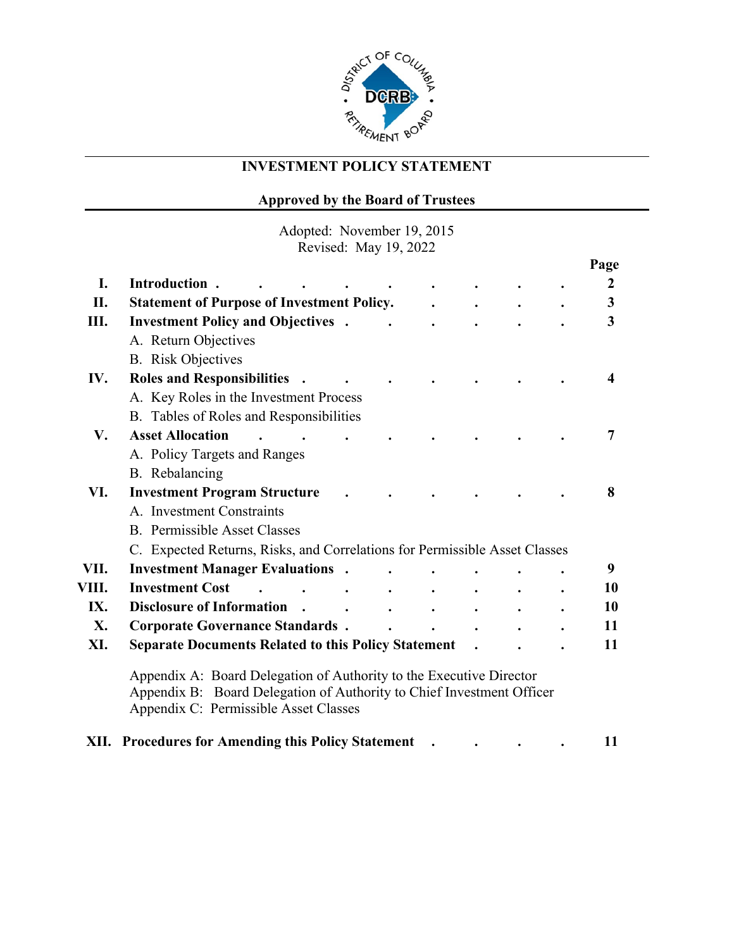

# **INVESTMENT POLICY STATEMENT**

# **Approved by the Board of Trustees**

Adopted: November 19, 2015 Revised: May 19, 2022

|       |                                                                                                                                                                                       |           |  |  | Page             |
|-------|---------------------------------------------------------------------------------------------------------------------------------------------------------------------------------------|-----------|--|--|------------------|
| I.    | Introduction.                                                                                                                                                                         |           |  |  | $\boldsymbol{2}$ |
| II.   | <b>Statement of Purpose of Investment Policy.</b>                                                                                                                                     |           |  |  | 3                |
| Ш.    | <b>Investment Policy and Objectives.</b>                                                                                                                                              |           |  |  | 3                |
|       | A. Return Objectives                                                                                                                                                                  |           |  |  |                  |
|       | <b>B.</b> Risk Objectives                                                                                                                                                             |           |  |  |                  |
| IV.   | <b>Roles and Responsibilities</b><br>$\ddot{\phantom{1}}$                                                                                                                             |           |  |  | $\boldsymbol{4}$ |
|       | A. Key Roles in the Investment Process                                                                                                                                                |           |  |  |                  |
|       | B. Tables of Roles and Responsibilities                                                                                                                                               |           |  |  |                  |
| V.    | <b>Asset Allocation</b>                                                                                                                                                               |           |  |  | 7                |
|       | A. Policy Targets and Ranges                                                                                                                                                          |           |  |  |                  |
|       | B. Rebalancing                                                                                                                                                                        |           |  |  |                  |
| VI.   | <b>Investment Program Structure</b>                                                                                                                                                   |           |  |  | 8                |
|       | A. Investment Constraints                                                                                                                                                             |           |  |  |                  |
|       | <b>B.</b> Permissible Asset Classes                                                                                                                                                   |           |  |  |                  |
|       | C. Expected Returns, Risks, and Correlations for Permissible Asset Classes                                                                                                            |           |  |  |                  |
| VII.  | <b>Investment Manager Evaluations .</b>                                                                                                                                               |           |  |  | 9                |
| VIII. | <b>Investment Cost</b>                                                                                                                                                                | $\bullet$ |  |  | 10               |
| IX.   | <b>Disclosure of Information</b><br>$\ddot{\phantom{1}}$                                                                                                                              |           |  |  | <b>10</b>        |
| X.    | <b>Corporate Governance Standards.</b>                                                                                                                                                |           |  |  | 11               |
| XI.   | <b>Separate Documents Related to this Policy Statement</b>                                                                                                                            |           |  |  | 11               |
|       | Appendix A: Board Delegation of Authority to the Executive Director<br>Appendix B: Board Delegation of Authority to Chief Investment Officer<br>Appendix C: Permissible Asset Classes |           |  |  |                  |
|       | XII. Procedures for Amending this Policy Statement                                                                                                                                    |           |  |  | 11               |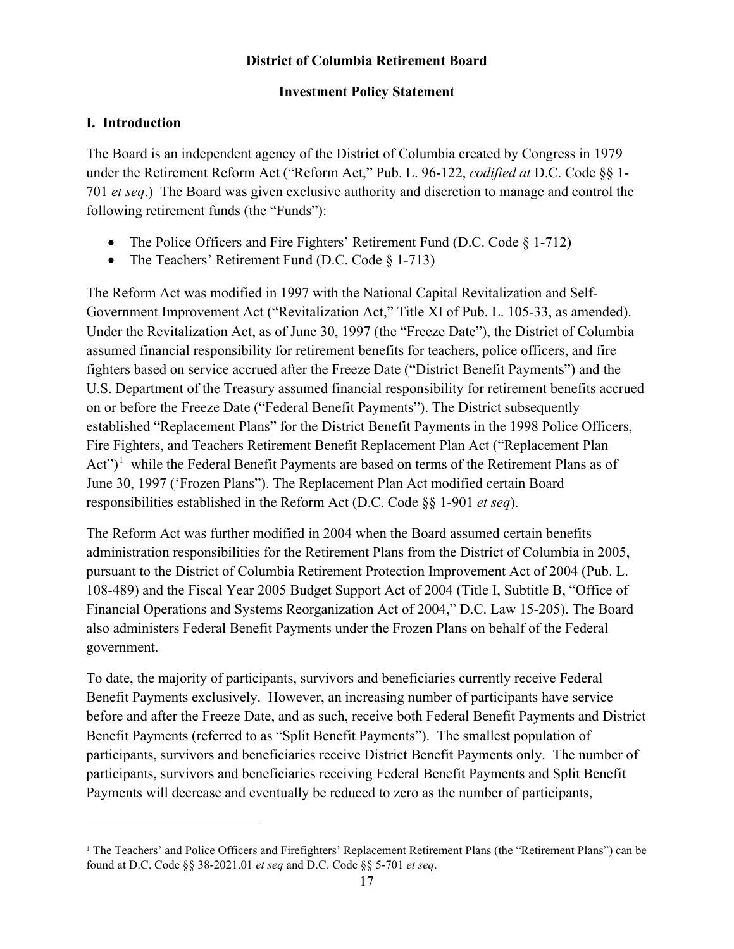### **District of Columbia Retirement Board**

### **Investment Policy Statement**

## **I. Introduction**

The Board is an independent agency of the District of Columbia created by Congress in 1979 under the Retirement Reform Act ("Reform Act," Pub. L. 96-122, *codified at* D.C. Code §§ 1- 701 *et seq*.) The Board was given exclusive authority and discretion to manage and control the following retirement funds (the "Funds"):

- The Police Officers and Fire Fighters' Retirement Fund (D.C. Code  $\S$  1-712)
- The Teachers' Retirement Fund (D.C. Code § 1-713)

The Reform Act was modified in 1997 with the National Capital Revitalization and Self-Government Improvement Act ("Revitalization Act," Title XI of Pub. L. 105-33, as amended). Under the Revitalization Act, as of June 30, 1997 (the "Freeze Date"), the District of Columbia assumed financial responsibility for retirement benefits for teachers, police officers, and fire fighters based on service accrued after the Freeze Date ("District Benefit Payments") and the U.S. Department of the Treasury assumed financial responsibility for retirement benefits accrued on or before the Freeze Date ("Federal Benefit Payments"). The District subsequently established "Replacement Plans" for the District Benefit Payments in the 1998 Police Officers, Fire Fighters, and Teachers Retirement Benefit Replacement Plan Act ("Replacement Plan Act")<sup>[1](#page-1-0)</sup> while the Federal Benefit Payments are based on terms of the Retirement Plans as of June 30, 1997 ('Frozen Plans"). The Replacement Plan Act modified certain Board responsibilities established in the Reform Act (D.C. Code §§ 1-901 *et seq*).

The Reform Act was further modified in 2004 when the Board assumed certain benefits administration responsibilities for the Retirement Plans from the District of Columbia in 2005, pursuant to the District of Columbia Retirement Protection Improvement Act of 2004 (Pub. L. 108-489) and the Fiscal Year 2005 Budget Support Act of 2004 (Title I, Subtitle B, "Office of Financial Operations and Systems Reorganization Act of 2004," D.C. Law 15-205). The Board also administers Federal Benefit Payments under the Frozen Plans on behalf of the Federal government.

To date, the majority of participants, survivors and beneficiaries currently receive Federal Benefit Payments exclusively. However, an increasing number of participants have service before and after the Freeze Date, and as such, receive both Federal Benefit Payments and District Benefit Payments (referred to as "Split Benefit Payments"). The smallest population of participants, survivors and beneficiaries receive District Benefit Payments only. The number of participants, survivors and beneficiaries receiving Federal Benefit Payments and Split Benefit Payments will decrease and eventually be reduced to zero as the number of participants,

<span id="page-1-0"></span><sup>&</sup>lt;sup>1</sup> The Teachers' and Police Officers and Firefighters' Replacement Retirement Plans (the "Retirement Plans") can be found at D.C. Code §§ 38-2021.01 *et seq* and D.C. Code §§ 5-701 *et seq*.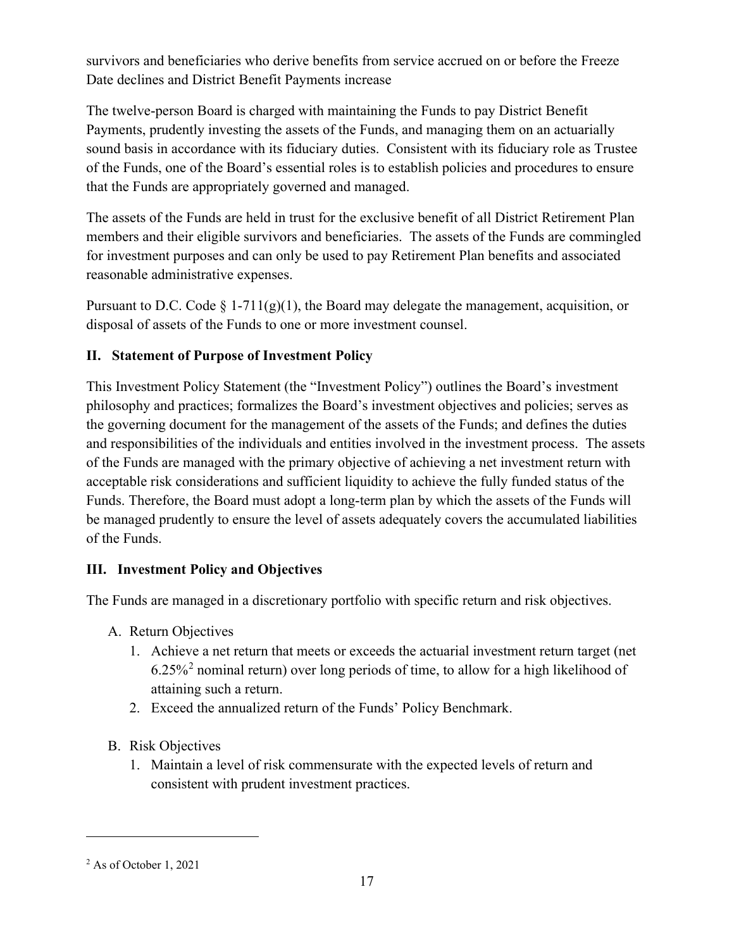survivors and beneficiaries who derive benefits from service accrued on or before the Freeze Date declines and District Benefit Payments increase

The twelve-person Board is charged with maintaining the Funds to pay District Benefit Payments, prudently investing the assets of the Funds, and managing them on an actuarially sound basis in accordance with its fiduciary duties. Consistent with its fiduciary role as Trustee of the Funds, one of the Board's essential roles is to establish policies and procedures to ensure that the Funds are appropriately governed and managed.

The assets of the Funds are held in trust for the exclusive benefit of all District Retirement Plan members and their eligible survivors and beneficiaries. The assets of the Funds are commingled for investment purposes and can only be used to pay Retirement Plan benefits and associated reasonable administrative expenses.

Pursuant to D.C. Code  $\S 1-711(g)(1)$ , the Board may delegate the management, acquisition, or disposal of assets of the Funds to one or more investment counsel.

# **II. Statement of Purpose of Investment Policy**

This Investment Policy Statement (the "Investment Policy") outlines the Board's investment philosophy and practices; formalizes the Board's investment objectives and policies; serves as the governing document for the management of the assets of the Funds; and defines the duties and responsibilities of the individuals and entities involved in the investment process. The assets of the Funds are managed with the primary objective of achieving a net investment return with acceptable risk considerations and sufficient liquidity to achieve the fully funded status of the Funds. Therefore, the Board must adopt a long-term plan by which the assets of the Funds will be managed prudently to ensure the level of assets adequately covers the accumulated liabilities of the Funds.

# **III. Investment Policy and Objectives**

The Funds are managed in a discretionary portfolio with specific return and risk objectives.

- A. Return Objectives
	- 1. Achieve a net return that meets or exceeds the actuarial investment return target (net  $6.25\%$  $6.25\%$  $6.25\%$ <sup>2</sup> nominal return) over long periods of time, to allow for a high likelihood of attaining such a return.
	- 2. Exceed the annualized return of the Funds' Policy Benchmark.
- B. Risk Objectives
	- 1. Maintain a level of risk commensurate with the expected levels of return and consistent with prudent investment practices.

<span id="page-2-0"></span><sup>2</sup> As of October 1, 2021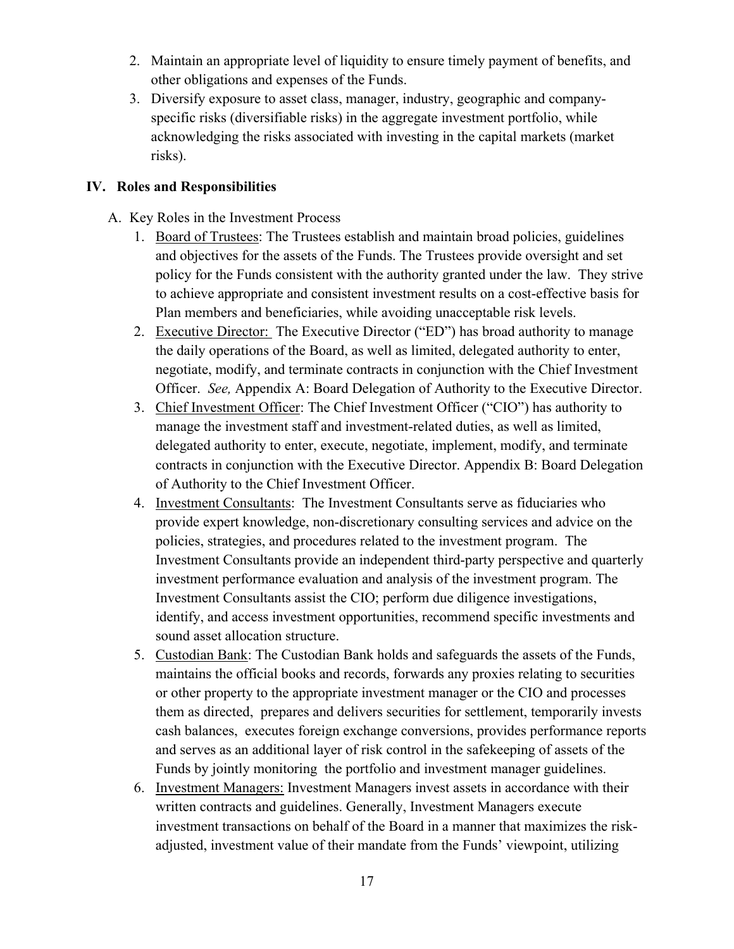- 2. Maintain an appropriate level of liquidity to ensure timely payment of benefits, and other obligations and expenses of the Funds.
- 3. Diversify exposure to asset class, manager, industry, geographic and companyspecific risks (diversifiable risks) in the aggregate investment portfolio, while acknowledging the risks associated with investing in the capital markets (market risks).

### **IV. Roles and Responsibilities**

- A. Key Roles in the Investment Process
	- 1. Board of Trustees: The Trustees establish and maintain broad policies, guidelines and objectives for the assets of the Funds. The Trustees provide oversight and set policy for the Funds consistent with the authority granted under the law. They strive to achieve appropriate and consistent investment results on a cost-effective basis for Plan members and beneficiaries, while avoiding unacceptable risk levels.
	- 2. Executive Director: The Executive Director ("ED") has broad authority to manage the daily operations of the Board, as well as limited, delegated authority to enter, negotiate, modify, and terminate contracts in conjunction with the Chief Investment Officer. *See,* Appendix A: Board Delegation of Authority to the Executive Director.
	- 3. Chief Investment Officer: The Chief Investment Officer ("CIO") has authority to manage the investment staff and investment-related duties, as well as limited, delegated authority to enter, execute, negotiate, implement, modify, and terminate contracts in conjunction with the Executive Director. Appendix B: Board Delegation of Authority to the Chief Investment Officer.
	- 4. Investment Consultants: The Investment Consultants serve as fiduciaries who provide expert knowledge, non-discretionary consulting services and advice on the policies, strategies, and procedures related to the investment program. The Investment Consultants provide an independent third-party perspective and quarterly investment performance evaluation and analysis of the investment program. The Investment Consultants assist the CIO; perform due diligence investigations, identify, and access investment opportunities, recommend specific investments and sound asset allocation structure.
	- 5. Custodian Bank: The Custodian Bank holds and safeguards the assets of the Funds, maintains the official books and records, forwards any proxies relating to securities or other property to the appropriate investment manager or the CIO and processes them as directed, prepares and delivers securities for settlement, temporarily invests cash balances, executes foreign exchange conversions, provides performance reports and serves as an additional layer of risk control in the safekeeping of assets of the Funds by jointly monitoring the portfolio and investment manager guidelines.
	- 6. Investment Managers: Investment Managers invest assets in accordance with their written contracts and guidelines. Generally, Investment Managers execute investment transactions on behalf of the Board in a manner that maximizes the riskadjusted, investment value of their mandate from the Funds' viewpoint, utilizing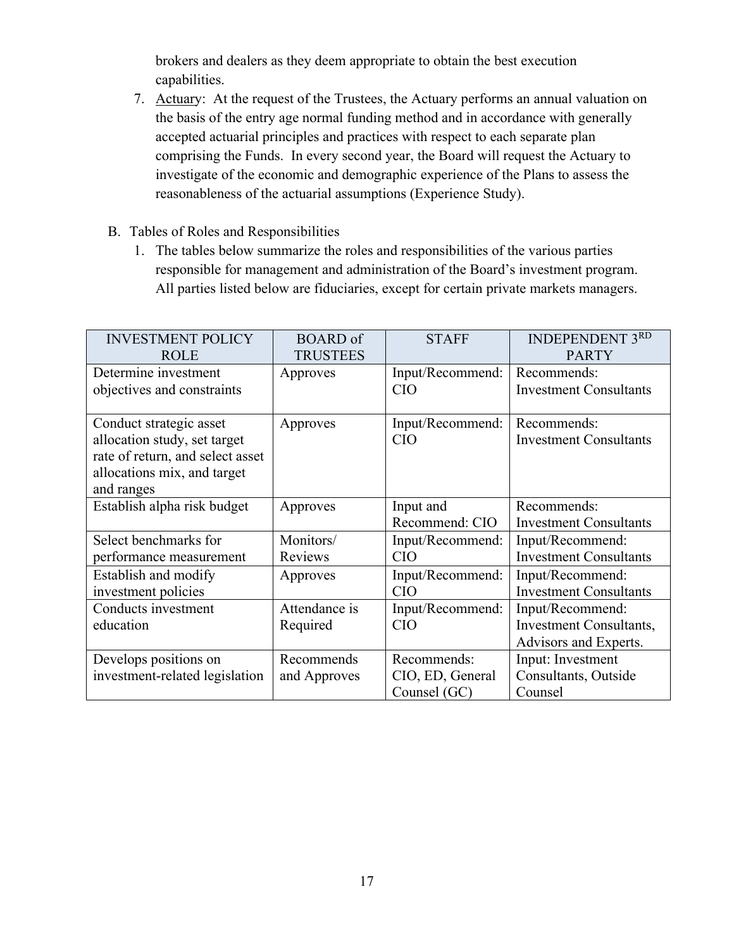brokers and dealers as they deem appropriate to obtain the best execution capabilities.

- 7. Actuary: At the request of the Trustees, the Actuary performs an annual valuation on the basis of the entry age normal funding method and in accordance with generally accepted actuarial principles and practices with respect to each separate plan comprising the Funds. In every second year, the Board will request the Actuary to investigate of the economic and demographic experience of the Plans to assess the reasonableness of the actuarial assumptions (Experience Study).
- B. Tables of Roles and Responsibilities
	- 1. The tables below summarize the roles and responsibilities of the various parties responsible for management and administration of the Board's investment program. All parties listed below are fiduciaries, except for certain private markets managers.

| <b>INVESTMENT POLICY</b>         | <b>BOARD</b> of | <b>STAFF</b>     | <b>INDEPENDENT 3RD</b>         |
|----------------------------------|-----------------|------------------|--------------------------------|
| <b>ROLE</b>                      | <b>TRUSTEES</b> |                  | <b>PARTY</b>                   |
| Determine investment             | Approves        | Input/Recommend: | Recommends:                    |
| objectives and constraints       |                 | <b>CIO</b>       | <b>Investment Consultants</b>  |
|                                  |                 |                  |                                |
| Conduct strategic asset          | Approves        | Input/Recommend: | Recommends:                    |
| allocation study, set target     |                 | <b>CIO</b>       | <b>Investment Consultants</b>  |
| rate of return, and select asset |                 |                  |                                |
| allocations mix, and target      |                 |                  |                                |
| and ranges                       |                 |                  |                                |
| Establish alpha risk budget      | Approves        | Input and        | Recommends:                    |
|                                  |                 | Recommend: CIO   | <b>Investment Consultants</b>  |
| Select benchmarks for            | Monitors/       | Input/Recommend: | Input/Recommend:               |
| performance measurement          | Reviews         | <b>CIO</b>       | <b>Investment Consultants</b>  |
| Establish and modify             | Approves        | Input/Recommend: | Input/Recommend:               |
| investment policies              |                 | CIO              | <b>Investment Consultants</b>  |
| Conducts investment              | Attendance is   | Input/Recommend: | Input/Recommend:               |
| education                        | Required        | <b>CIO</b>       | <b>Investment Consultants,</b> |
|                                  |                 |                  | Advisors and Experts.          |
| Develops positions on            | Recommends      | Recommends:      | Input: Investment              |
|                                  |                 |                  |                                |
| investment-related legislation   | and Approves    | CIO, ED, General | Consultants, Outside           |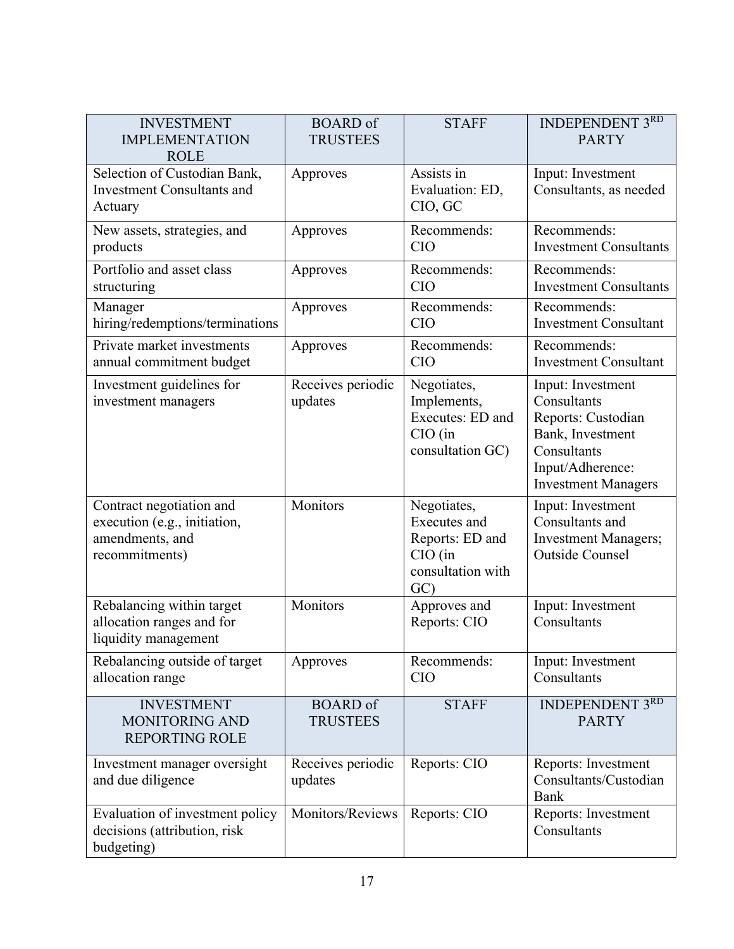| <b>INVESTMENT</b><br><b>IMPLEMENTATION</b><br><b>ROLE</b>                                     | <b>BOARD</b> of<br><b>TRUSTEES</b> | <b>STAFF</b>                                                                                   | <b>INDEPENDENT 3RD</b><br><b>PARTY</b>                                                                                                      |
|-----------------------------------------------------------------------------------------------|------------------------------------|------------------------------------------------------------------------------------------------|---------------------------------------------------------------------------------------------------------------------------------------------|
| Selection of Custodian Bank,<br><b>Investment Consultants and</b><br>Actuary                  | Approves                           | Assists in<br>Evaluation: ED,<br>CIO, GC                                                       | Input: Investment<br>Consultants, as needed                                                                                                 |
| New assets, strategies, and<br>products                                                       | Approves                           | Recommends:<br><b>CIO</b>                                                                      | Recommends:<br><b>Investment Consultants</b>                                                                                                |
| Portfolio and asset class<br>structuring                                                      | Approves                           | Recommends:<br><b>CIO</b>                                                                      | Recommends:<br><b>Investment Consultants</b>                                                                                                |
| Manager<br>hiring/redemptions/terminations                                                    | Approves                           | Recommends:<br><b>CIO</b>                                                                      | Recommends:<br><b>Investment Consultant</b>                                                                                                 |
| Private market investments<br>annual commitment budget                                        | Approves                           | Recommends:<br><b>CIO</b>                                                                      | Recommends:<br><b>Investment Consultant</b>                                                                                                 |
| Investment guidelines for<br>investment managers                                              | Receives periodic<br>updates       | Negotiates,<br>Implements,<br>Executes: ED and<br>$CIO$ (in<br>consultation GC)                | Input: Investment<br>Consultants<br>Reports: Custodian<br>Bank, Investment<br>Consultants<br>Input/Adherence:<br><b>Investment Managers</b> |
| Contract negotiation and<br>execution (e.g., initiation,<br>amendments, and<br>recommitments) | Monitors                           | Negotiates,<br><b>Executes</b> and<br>Reports: ED and<br>$CIO$ (in<br>consultation with<br>GC) | Input: Investment<br>Consultants and<br><b>Investment Managers;</b><br><b>Outside Counsel</b>                                               |
| Rebalancing within target<br>allocation ranges and for<br>liquidity management                | Monitors                           | Approves and<br>Reports: CIO                                                                   | Input: Investment<br>Consultants                                                                                                            |
| Rebalancing outside of target<br>allocation range                                             | Approves                           | Recommends:<br><b>CIO</b>                                                                      | Input: Investment<br>Consultants                                                                                                            |
| <b>INVESTMENT</b><br><b>MONITORING AND</b><br><b>REPORTING ROLE</b>                           | <b>BOARD</b> of<br><b>TRUSTEES</b> | <b>STAFF</b>                                                                                   | <b>INDEPENDENT 3RD</b><br><b>PARTY</b>                                                                                                      |
| Investment manager oversight<br>and due diligence                                             | Receives periodic<br>updates       | Reports: CIO                                                                                   | Reports: Investment<br>Consultants/Custodian<br>Bank                                                                                        |
| Evaluation of investment policy<br>decisions (attribution, risk<br>budgeting)                 | Monitors/Reviews                   | Reports: CIO                                                                                   | Reports: Investment<br>Consultants                                                                                                          |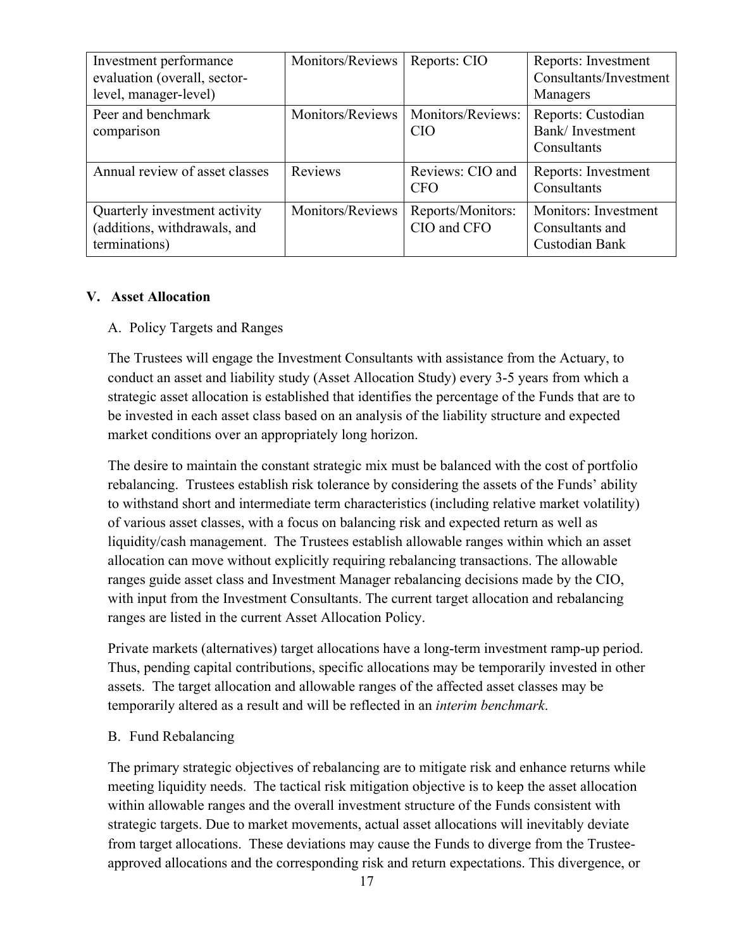| Investment performance<br>evaluation (overall, sector-<br>level, manager-level) | Monitors/Reviews | Reports: CIO                                       | Reports: Investment<br>Consultants/Investment<br>Managers |
|---------------------------------------------------------------------------------|------------------|----------------------------------------------------|-----------------------------------------------------------|
| Peer and benchmark<br>comparison                                                |                  | Monitors/Reviews   Monitors/Reviews:<br><b>CIO</b> | Reports: Custodian<br>Bank/Investment<br>Consultants      |
| Annual review of asset classes                                                  | Reviews          | Reviews: CIO and<br><b>CFO</b>                     | Reports: Investment<br>Consultants                        |
| Quarterly investment activity<br>(additions, withdrawals, and<br>terminations)  | Monitors/Reviews | Reports/Monitors:<br>CIO and CFO                   | Monitors: Investment<br>Consultants and<br>Custodian Bank |

#### **V. Asset Allocation**

### A. Policy Targets and Ranges

The Trustees will engage the Investment Consultants with assistance from the Actuary, to conduct an asset and liability study (Asset Allocation Study) every 3-5 years from which a strategic asset allocation is established that identifies the percentage of the Funds that are to be invested in each asset class based on an analysis of the liability structure and expected market conditions over an appropriately long horizon.

The desire to maintain the constant strategic mix must be balanced with the cost of portfolio rebalancing. Trustees establish risk tolerance by considering the assets of the Funds' ability to withstand short and intermediate term characteristics (including relative market volatility) of various asset classes, with a focus on balancing risk and expected return as well as liquidity/cash management. The Trustees establish allowable ranges within which an asset allocation can move without explicitly requiring rebalancing transactions. The allowable ranges guide asset class and Investment Manager rebalancing decisions made by the CIO, with input from the Investment Consultants. The current target allocation and rebalancing ranges are listed in the current Asset Allocation Policy.

Private markets (alternatives) target allocations have a long-term investment ramp-up period. Thus, pending capital contributions, specific allocations may be temporarily invested in other assets. The target allocation and allowable ranges of the affected asset classes may be temporarily altered as a result and will be reflected in an *interim benchmark*.

#### B. Fund Rebalancing

The primary strategic objectives of rebalancing are to mitigate risk and enhance returns while meeting liquidity needs. The tactical risk mitigation objective is to keep the asset allocation within allowable ranges and the overall investment structure of the Funds consistent with strategic targets. Due to market movements, actual asset allocations will inevitably deviate from target allocations. These deviations may cause the Funds to diverge from the Trusteeapproved allocations and the corresponding risk and return expectations. This divergence, or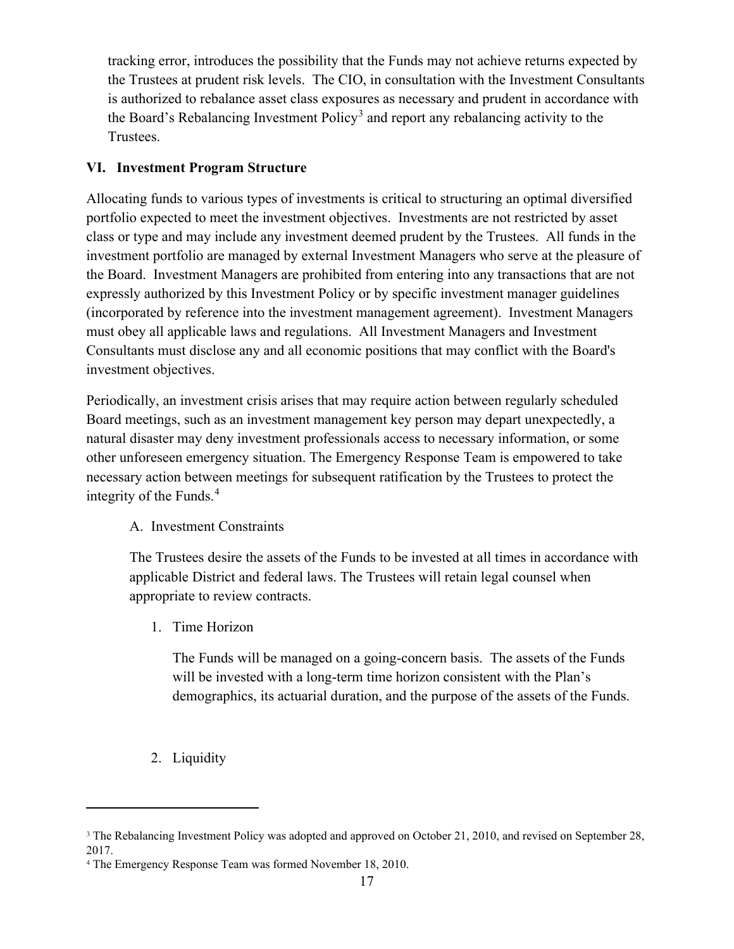tracking error, introduces the possibility that the Funds may not achieve returns expected by the Trustees at prudent risk levels. The CIO, in consultation with the Investment Consultants is authorized to rebalance asset class exposures as necessary and prudent in accordance with the Board's Rebalancing Investment Policy<sup>[3](#page-7-0)</sup> and report any rebalancing activity to the Trustees.

## **VI. Investment Program Structure**

Allocating funds to various types of investments is critical to structuring an optimal diversified portfolio expected to meet the investment objectives. Investments are not restricted by asset class or type and may include any investment deemed prudent by the Trustees. All funds in the investment portfolio are managed by external Investment Managers who serve at the pleasure of the Board. Investment Managers are prohibited from entering into any transactions that are not expressly authorized by this Investment Policy or by specific investment manager guidelines (incorporated by reference into the investment management agreement). Investment Managers must obey all applicable laws and regulations. All Investment Managers and Investment Consultants must disclose any and all economic positions that may conflict with the Board's investment objectives.

Periodically, an investment crisis arises that may require action between regularly scheduled Board meetings, such as an investment management key person may depart unexpectedly, a natural disaster may deny investment professionals access to necessary information, or some other unforeseen emergency situation. The Emergency Response Team is empowered to take necessary action between meetings for subsequent ratification by the Trustees to protect the integrity of the Funds. [4](#page-7-1)

## A. Investment Constraints

The Trustees desire the assets of the Funds to be invested at all times in accordance with applicable District and federal laws. The Trustees will retain legal counsel when appropriate to review contracts.

1. Time Horizon

The Funds will be managed on a going-concern basis. The assets of the Funds will be invested with a long-term time horizon consistent with the Plan's demographics, its actuarial duration, and the purpose of the assets of the Funds.

2. Liquidity

<span id="page-7-0"></span><sup>&</sup>lt;sup>3</sup> The Rebalancing Investment Policy was adopted and approved on October 21, 2010, and revised on September 28, 2017.

<span id="page-7-1"></span><sup>4</sup> The Emergency Response Team was formed November 18, 2010.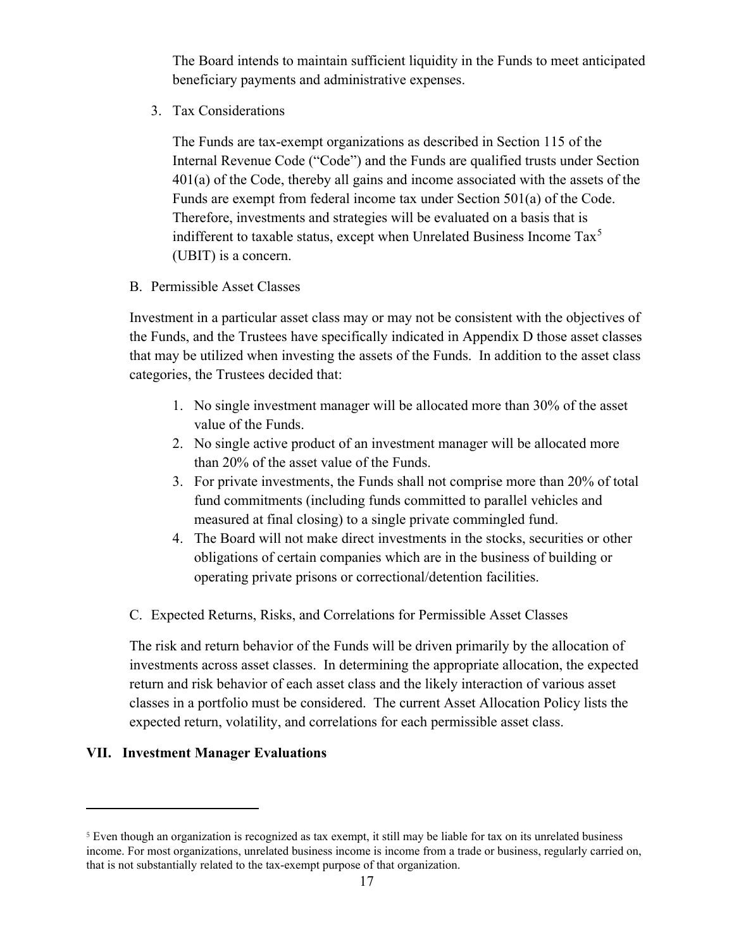The Board intends to maintain sufficient liquidity in the Funds to meet anticipated beneficiary payments and administrative expenses.

3. Tax Considerations

The Funds are tax-exempt organizations as described in Section 115 of the Internal Revenue Code ("Code") and the Funds are qualified trusts under Section 401(a) of the Code, thereby all gains and income associated with the assets of the Funds are exempt from federal income tax under Section 501(a) of the Code. Therefore, investments and strategies will be evaluated on a basis that is indifferent to taxable status, except when Unrelated Business Income  $\text{Tax}^5$  $\text{Tax}^5$ (UBIT) is a concern.

B. Permissible Asset Classes

Investment in a particular asset class may or may not be consistent with the objectives of the Funds, and the Trustees have specifically indicated in Appendix D those asset classes that may be utilized when investing the assets of the Funds. In addition to the asset class categories, the Trustees decided that:

- 1. No single investment manager will be allocated more than 30% of the asset value of the Funds.
- 2. No single active product of an investment manager will be allocated more than 20% of the asset value of the Funds.
- 3. For private investments, the Funds shall not comprise more than 20% of total fund commitments (including funds committed to parallel vehicles and measured at final closing) to a single private commingled fund.
- 4. The Board will not make direct investments in the stocks, securities or other obligations of certain companies which are in the business of building or operating private prisons or correctional/detention facilities.
- C. Expected Returns, Risks, and Correlations for Permissible Asset Classes

The risk and return behavior of the Funds will be driven primarily by the allocation of investments across asset classes. In determining the appropriate allocation, the expected return and risk behavior of each asset class and the likely interaction of various asset classes in a portfolio must be considered. The current Asset Allocation Policy lists the expected return, volatility, and correlations for each permissible asset class.

#### **VII. Investment Manager Evaluations**

<span id="page-8-0"></span><sup>5</sup> Even though an organization is recognized as tax exempt, it still may be liable for tax on its unrelated business income. For most organizations, unrelated business income is income from a trade or business, regularly carried on, that is not substantially related to the tax-exempt purpose of that organization.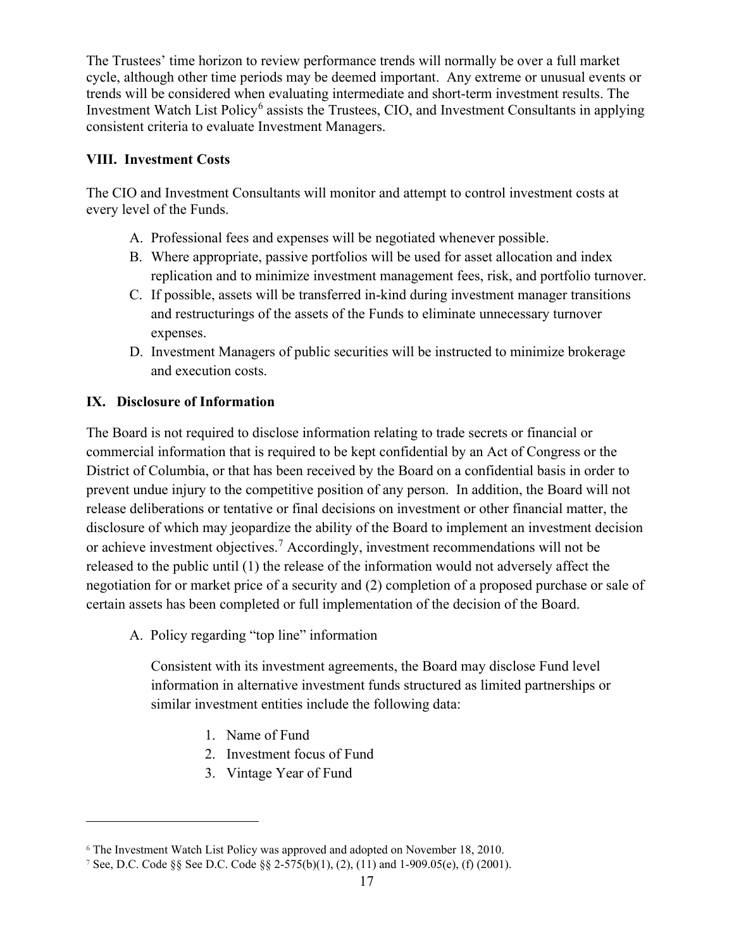The Trustees' time horizon to review performance trends will normally be over a full market cycle, although other time periods may be deemed important. Any extreme or unusual events or trends will be considered when evaluating intermediate and short-term investment results. The Investment Watch List Policy<sup>[6](#page-9-0)</sup> assists the Trustees, CIO, and Investment Consultants in applying consistent criteria to evaluate Investment Managers.

## **VIII. Investment Costs**

The CIO and Investment Consultants will monitor and attempt to control investment costs at every level of the Funds.

- A. Professional fees and expenses will be negotiated whenever possible.
- B. Where appropriate, passive portfolios will be used for asset allocation and index replication and to minimize investment management fees, risk, and portfolio turnover.
- C. If possible, assets will be transferred in-kind during investment manager transitions and restructurings of the assets of the Funds to eliminate unnecessary turnover expenses.
- D. Investment Managers of public securities will be instructed to minimize brokerage and execution costs.

# **IX. Disclosure of Information**

The Board is not required to disclose information relating to trade secrets or financial or commercial information that is required to be kept confidential by an Act of Congress or the District of Columbia, or that has been received by the Board on a confidential basis in order to prevent undue injury to the competitive position of any person. In addition, the Board will not release deliberations or tentative or final decisions on investment or other financial matter, the disclosure of which may jeopardize the ability of the Board to implement an investment decision or achieve investment objectives.[7](#page-9-1) Accordingly, investment recommendations will not be released to the public until (1) the release of the information would not adversely affect the negotiation for or market price of a security and (2) completion of a proposed purchase or sale of certain assets has been completed or full implementation of the decision of the Board.

A. Policy regarding "top line" information

Consistent with its investment agreements, the Board may disclose Fund level information in alternative investment funds structured as limited partnerships or similar investment entities include the following data:

- 1. Name of Fund
- 2. Investment focus of Fund
- 3. Vintage Year of Fund

<span id="page-9-0"></span><sup>6</sup> The Investment Watch List Policy was approved and adopted on November 18, 2010.

<span id="page-9-1"></span><sup>7</sup> See, D.C. Code §§ See D.C. Code §§ 2-575(b)(1), (2), (11) and 1-909.05(e), (f) (2001).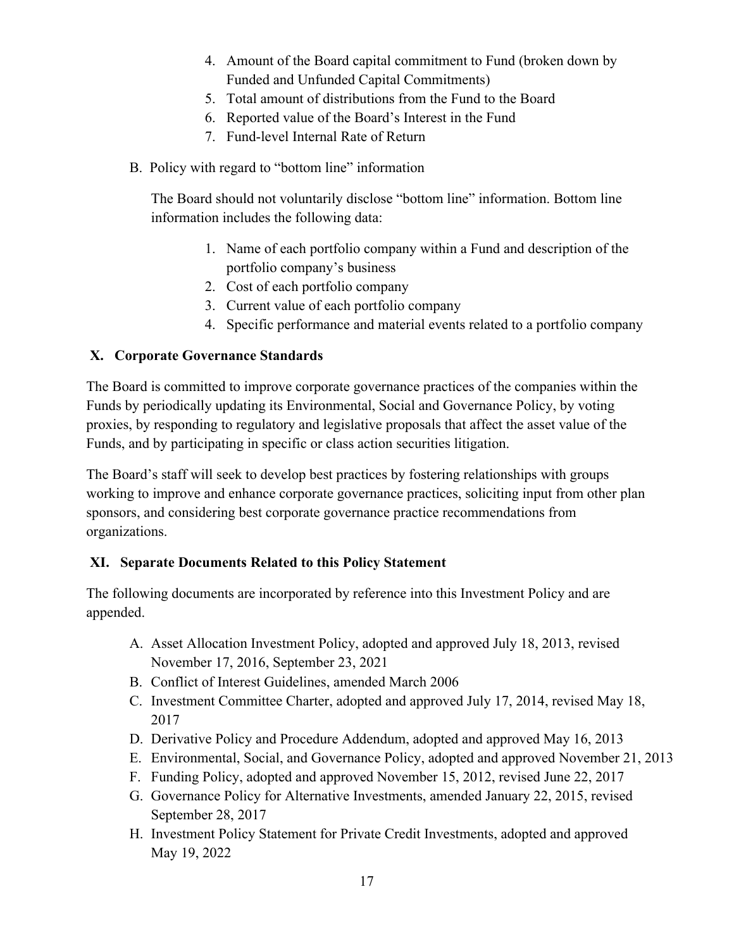- 4. Amount of the Board capital commitment to Fund (broken down by Funded and Unfunded Capital Commitments)
- 5. Total amount of distributions from the Fund to the Board
- 6. Reported value of the Board's Interest in the Fund
- 7. Fund-level Internal Rate of Return
- B. Policy with regard to "bottom line" information

The Board should not voluntarily disclose "bottom line" information. Bottom line information includes the following data:

- 1. Name of each portfolio company within a Fund and description of the portfolio company's business
- 2. Cost of each portfolio company
- 3. Current value of each portfolio company
- 4. Specific performance and material events related to a portfolio company

## **X. Corporate Governance Standards**

The Board is committed to improve corporate governance practices of the companies within the Funds by periodically updating its Environmental, Social and Governance Policy, by voting proxies, by responding to regulatory and legislative proposals that affect the asset value of the Funds, and by participating in specific or class action securities litigation.

The Board's staff will seek to develop best practices by fostering relationships with groups working to improve and enhance corporate governance practices, soliciting input from other plan sponsors, and considering best corporate governance practice recommendations from organizations.

## **XI. Separate Documents Related to this Policy Statement**

The following documents are incorporated by reference into this Investment Policy and are appended.

- A. Asset Allocation Investment Policy, adopted and approved July 18, 2013, revised November 17, 2016, September 23, 2021
- B. Conflict of Interest Guidelines, amended March 2006
- C. Investment Committee Charter, adopted and approved July 17, 2014, revised May 18, 2017
- D. Derivative Policy and Procedure Addendum, adopted and approved May 16, 2013
- E. Environmental, Social, and Governance Policy, adopted and approved November 21, 2013
- F. Funding Policy, adopted and approved November 15, 2012, revised June 22, 2017
- G. Governance Policy for Alternative Investments, amended January 22, 2015, revised September 28, 2017
- H. Investment Policy Statement for Private Credit Investments, adopted and approved May 19, 2022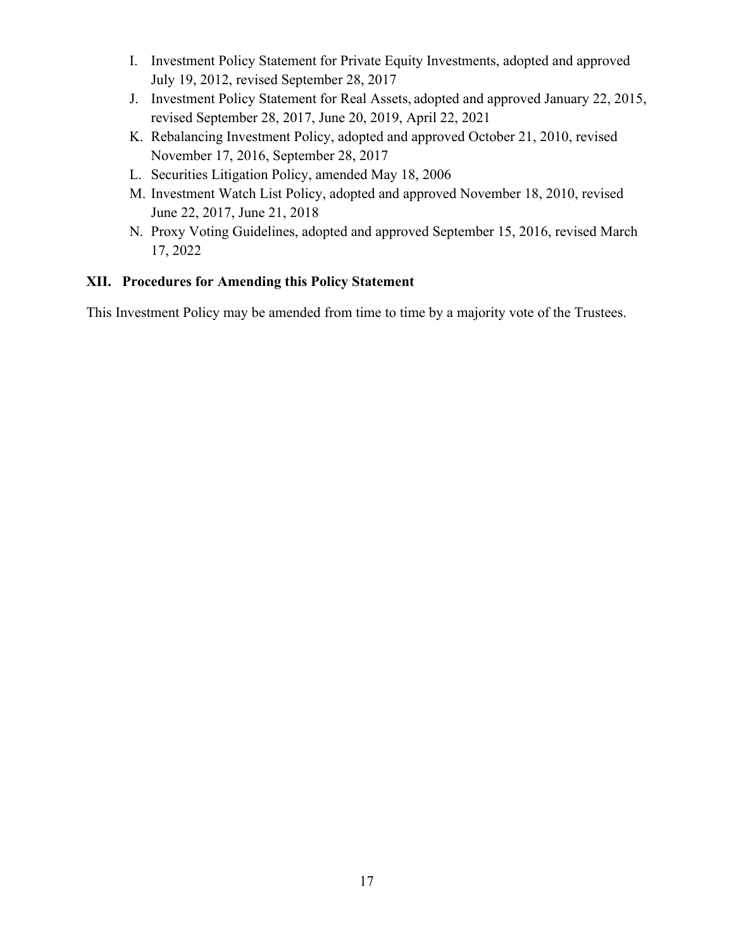- I. Investment Policy Statement for Private Equity Investments, adopted and approved July 19, 2012, revised September 28, 2017
- J. Investment Policy Statement for Real Assets, adopted and approved January 22, 2015, revised September 28, 2017, June 20, 2019, April 22, 2021
- K. Rebalancing Investment Policy, adopted and approved October 21, 2010, revised November 17, 2016, September 28, 2017
- L. Securities Litigation Policy, amended May 18, 2006
- M. Investment Watch List Policy, adopted and approved November 18, 2010, revised June 22, 2017, June 21, 2018
- N. Proxy Voting Guidelines, adopted and approved September 15, 2016, revised March 17, 2022

## **XII. Procedures for Amending this Policy Statement**

This Investment Policy may be amended from time to time by a majority vote of the Trustees.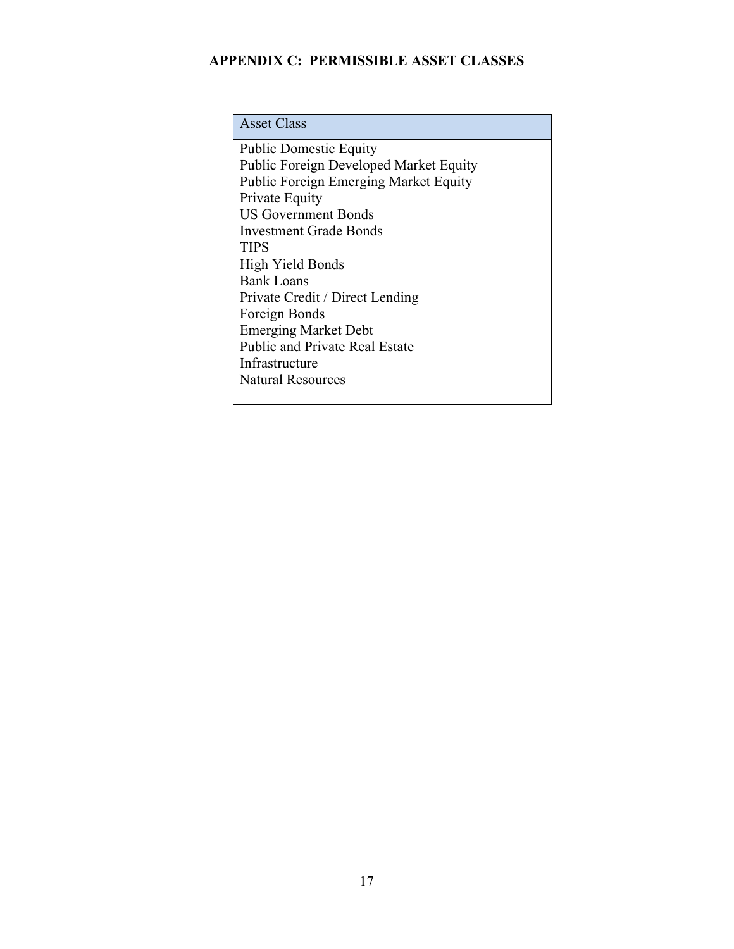## **APPENDIX C: PERMISSIBLE ASSET CLASSES**

Public Domestic Equity Public Foreign Developed Market Equity Public Foreign Emerging Market Equity Private Equity US Government Bonds Investment Grade Bonds **TIPS** High Yield Bonds Bank Loans Private Credit / Direct Lending Foreign Bonds Emerging Market Debt Public and Private Real Estate Infrastructure Natural Resources